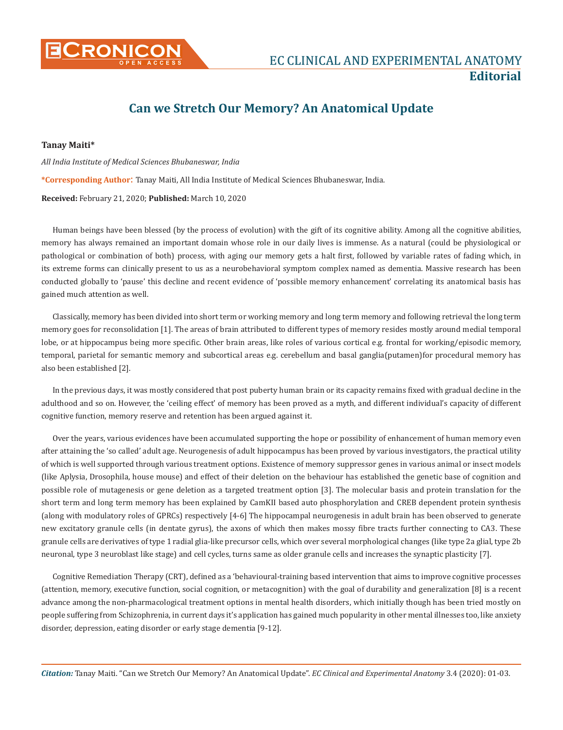

## **Can we Stretch Our Memory? An Anatomical Update**

## **Tanay Maiti\***

*All India Institute of Medical Sciences Bhubaneswar, India*  **\*Corresponding Author**: Tanay Maiti, All India Institute of Medical Sciences Bhubaneswar, India. **Received:** February 21, 2020; **Published:** March 10, 2020

Human beings have been blessed (by the process of evolution) with the gift of its cognitive ability. Among all the cognitive abilities, memory has always remained an important domain whose role in our daily lives is immense. As a natural (could be physiological or pathological or combination of both) process, with aging our memory gets a halt first, followed by variable rates of fading which, in its extreme forms can clinically present to us as a neurobehavioral symptom complex named as dementia. Massive research has been conducted globally to 'pause' this decline and recent evidence of 'possible memory enhancement' correlating its anatomical basis has gained much attention as well.

Classically, memory has been divided into short term or working memory and long term memory and following retrieval the long term memory goes for reconsolidation [1]. The areas of brain attributed to different types of memory resides mostly around medial temporal lobe, or at hippocampus being more specific. Other brain areas, like roles of various cortical e.g. frontal for working/episodic memory, temporal, parietal for semantic memory and subcortical areas e.g. cerebellum and basal ganglia(putamen)for procedural memory has also been established [2].

In the previous days, it was mostly considered that post puberty human brain or its capacity remains fixed with gradual decline in the adulthood and so on. However, the 'ceiling effect' of memory has been proved as a myth, and different individual's capacity of different cognitive function, memory reserve and retention has been argued against it.

Over the years, various evidences have been accumulated supporting the hope or possibility of enhancement of human memory even after attaining the 'so called' adult age. Neurogenesis of adult hippocampus has been proved by various investigators, the practical utility of which is well supported through various treatment options. Existence of memory suppressor genes in various animal or insect models (like Aplysia, Drosophila, house mouse) and effect of their deletion on the behaviour has established the genetic base of cognition and possible role of mutagenesis or gene deletion as a targeted treatment option [3]. The molecular basis and protein translation for the short term and long term memory has been explained by CamKII based auto phosphorylation and CREB dependent protein synthesis (along with modulatory roles of GPRCs) respectively [4-6] The hippocampal neurogenesis in adult brain has been observed to generate new excitatory granule cells (in dentate gyrus), the axons of which then makes mossy fibre tracts further connecting to CA3. These granule cells are derivatives of type 1 radial glia-like precursor cells, which over several morphological changes (like type 2a glial, type 2b neuronal, type 3 neuroblast like stage) and cell cycles, turns same as older granule cells and increases the synaptic plasticity [7].

Cognitive Remediation Therapy (CRT), defined as a 'behavioural-training based intervention that aims to improve cognitive processes (attention, memory, executive function, social cognition, or metacognition) with the goal of durability and generalization [8] is a recent advance among the non-pharmacological treatment options in mental health disorders, which initially though has been tried mostly on people suffering from Schizophrenia, in current days it's application has gained much popularity in other mental illnesses too, like anxiety disorder, depression, eating disorder or early stage dementia [9-12].

*Citation:* Tanay Maiti. "Can we Stretch Our Memory? An Anatomical Update". *EC Clinical and Experimental Anatomy* 3.4 (2020): 01-03.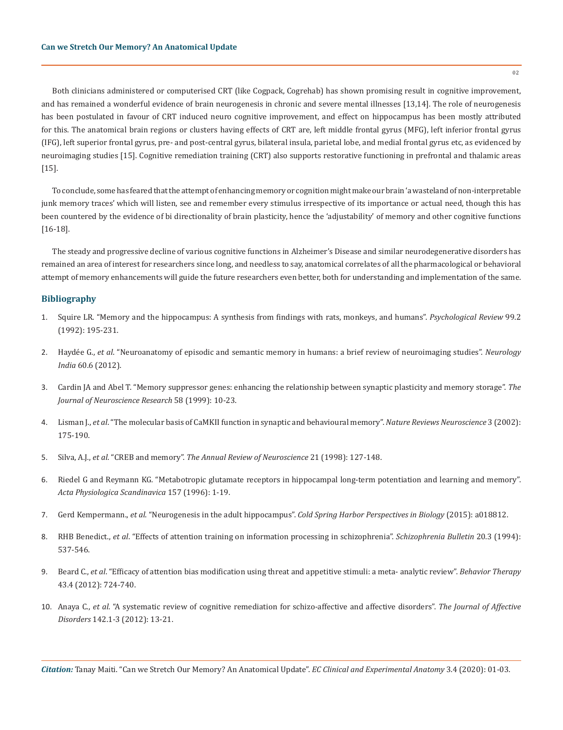Both clinicians administered or computerised CRT (like Cogpack, Cogrehab) has shown promising result in cognitive improvement, and has remained a wonderful evidence of brain neurogenesis in chronic and severe mental illnesses [13,14]. The role of neurogenesis has been postulated in favour of CRT induced neuro cognitive improvement, and effect on hippocampus has been mostly attributed for this. The anatomical brain regions or clusters having effects of CRT are, left middle frontal gyrus (MFG), left inferior frontal gyrus (IFG), left superior frontal gyrus, pre- and post-central gyrus, bilateral insula, parietal lobe, and medial frontal gyrus etc, as evidenced by neuroimaging studies [15]. Cognitive remediation training (CRT) also supports restorative functioning in prefrontal and thalamic areas [15].

To conclude, some has feared that the attempt of enhancing memory or cognition might make our brain 'a wasteland of non-interpretable junk memory traces' which will listen, see and remember every stimulus irrespective of its importance or actual need, though this has been countered by the evidence of bi directionality of brain plasticity, hence the 'adjustability' of memory and other cognitive functions [16-18].

The steady and progressive decline of various cognitive functions in Alzheimer's Disease and similar neurodegenerative disorders has remained an area of interest for researchers since long, and needless to say, anatomical correlates of all the pharmacological or behavioral attempt of memory enhancements will guide the future researchers even better, both for understanding and implementation of the same.

## **Bibliography**

- 1. [Squire LR. "Memory and the hippocampus: A synthesis from findings with rats, monkeys, and humans".](https://www.ncbi.nlm.nih.gov/pubmed/1594723) *Psychological Review* 99.2 [\(1992\): 195-231.](https://www.ncbi.nlm.nih.gov/pubmed/1594723)
- 2. Haydée G., *et al*[. "Neuroanatomy of episodic and semantic memory in humans: a brief review of neuroimaging studies".](https://www.ncbi.nlm.nih.gov/pubmed/23287324) *Neurology India* [60.6 \(2012\).](https://www.ncbi.nlm.nih.gov/pubmed/23287324)
- 3. [Cardin JA and Abel T. "Memory suppressor genes: enhancing the relationship between synaptic plasticity and memory storage".](https://www.ncbi.nlm.nih.gov/pubmed/10491568) *The [Journal of Neuroscience Research](https://www.ncbi.nlm.nih.gov/pubmed/10491568)* 58 (1999): 10-23.
- 4. Lisman J., *et al*[. "The molecular basis of CaMKII function in synaptic and behavioural memory".](https://www.ncbi.nlm.nih.gov/pubmed/11994750) *Nature Reviews Neuroscience* 3 (2002): [175-190.](https://www.ncbi.nlm.nih.gov/pubmed/11994750)
- 5. Silva, A.J., *et al*. "CREB and memory". *[The Annual Review of Neuroscience](https://www.ncbi.nlm.nih.gov/pubmed/9530494)* 21 (1998): 127-148.
- 6. [Riedel G and Reymann KG. "Metabotropic glutamate receptors in hippocampal long-term potentiation and learning and memory".](https://www.ncbi.nlm.nih.gov/pubmed/8735650)  *[Acta Physiologica Scandinavica](https://www.ncbi.nlm.nih.gov/pubmed/8735650)* 157 (1996): 1-19.
- 7. Gerd Kempermann., *et al*. "Neurogenesis in the adult hippocampus". *[Cold Spring Harbor Perspectives in Biology](https://www.ncbi.nlm.nih.gov/pubmed/26330519)* (2015): a018812.
- 8. RHB Benedict., *et al*[. "Effects of attention training on information processing in schizophrenia".](https://www.ncbi.nlm.nih.gov/pubmed/7973469) *Schizophrenia Bulletin* 20.3 (1994): [537-546.](https://www.ncbi.nlm.nih.gov/pubmed/7973469)
- 9. Beard C., *et al*[. "Efficacy of attention bias modification using threat and appetitive stimuli: a meta- analytic review".](https://www.ncbi.nlm.nih.gov/pubmed/23046776) *Behavior Therapy* [43.4 \(2012\): 724-740.](https://www.ncbi.nlm.nih.gov/pubmed/23046776)
- 10. Anaya C., *et al*[. "A systematic review of cognitive remediation for schizo-affective and affective disorders".](https://www.ncbi.nlm.nih.gov/pubmed/22840620) *The Journal of Affective Disorders* [142.1-3 \(2012\): 13-21.](https://www.ncbi.nlm.nih.gov/pubmed/22840620)

*Citation:* Tanay Maiti. "Can we Stretch Our Memory? An Anatomical Update". *EC Clinical and Experimental Anatomy* 3.4 (2020): 01-03.